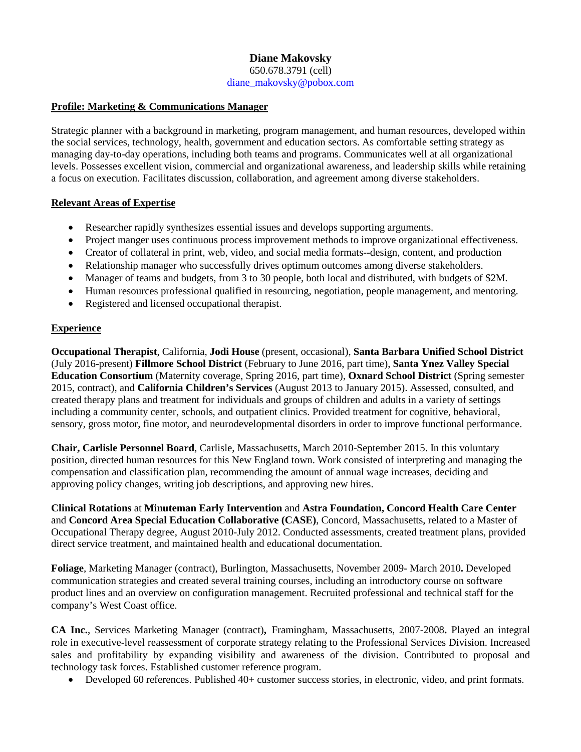#### **Diane Makovsky** 650.678.3791 (cell) [diane\\_makovsky@pobox.com](mailto:diane_makovsky@pobox.com)

#### **Profile: Marketing & Communications Manager**

Strategic planner with a background in marketing, program management, and human resources, developed within the social services, technology, health, government and education sectors. As comfortable setting strategy as managing day-to-day operations, including both teams and programs. Communicates well at all organizational levels. Possesses excellent vision, commercial and organizational awareness, and leadership skills while retaining a focus on execution. Facilitates discussion, collaboration, and agreement among diverse stakeholders.

#### **Relevant Areas of Expertise**

- Researcher rapidly synthesizes essential issues and develops supporting arguments.
- Project manger uses continuous process improvement methods to improve organizational effectiveness.
- Creator of collateral in print, web, video, and social media formats--design, content, and production
- Relationship manager who successfully drives optimum outcomes among diverse stakeholders.
- Manager of teams and budgets, from 3 to 30 people, both local and distributed, with budgets of \$2M.
- Human resources professional qualified in resourcing, negotiation, people management, and mentoring.
- Registered and licensed occupational therapist.

# **Experience**

**Occupational Therapist**, California, **Jodi House** (present, occasional), **Santa Barbara Unified School District**  (July 2016-present) **Fillmore School District** (February to June 2016, part time), **Santa Ynez Valley Special Education Consortium** (Maternity coverage, Spring 2016, part time), **Oxnard School District** (Spring semester 2015, contract), and **California Children's Services** (August 2013 to January 2015). Assessed, consulted, and created therapy plans and treatment for individuals and groups of children and adults in a variety of settings including a community center, schools, and outpatient clinics. Provided treatment for cognitive, behavioral, sensory, gross motor, fine motor, and neurodevelopmental disorders in order to improve functional performance.

**Chair, Carlisle Personnel Board**, Carlisle, Massachusetts, March 2010-September 2015. In this voluntary position, directed human resources for this New England town. Work consisted of interpreting and managing the compensation and classification plan, recommending the amount of annual wage increases, deciding and approving policy changes, writing job descriptions, and approving new hires.

**Clinical Rotations** at **Minuteman Early Intervention** and **Astra Foundation, Concord Health Care Center** and **Concord Area Special Education Collaborative (CASE)**, Concord, Massachusetts, related to a Master of Occupational Therapy degree, August 2010-July 2012. Conducted assessments, created treatment plans, provided direct service treatment, and maintained health and educational documentation.

**Foliage**, Marketing Manager (contract), Burlington, Massachusetts, November 2009- March 2010**.** Developed communication strategies and created several training courses, including an introductory course on software product lines and an overview on configuration management. Recruited professional and technical staff for the company's West Coast office.

**CA Inc.**, Services Marketing Manager (contract)**,** Framingham, Massachusetts, 2007-2008**.** Played an integral role in executive-level reassessment of corporate strategy relating to the Professional Services Division. Increased sales and profitability by expanding visibility and awareness of the division. Contributed to proposal and technology task forces. Established customer reference program.

• Developed 60 references. Published 40+ customer success stories, in electronic, video, and print formats.